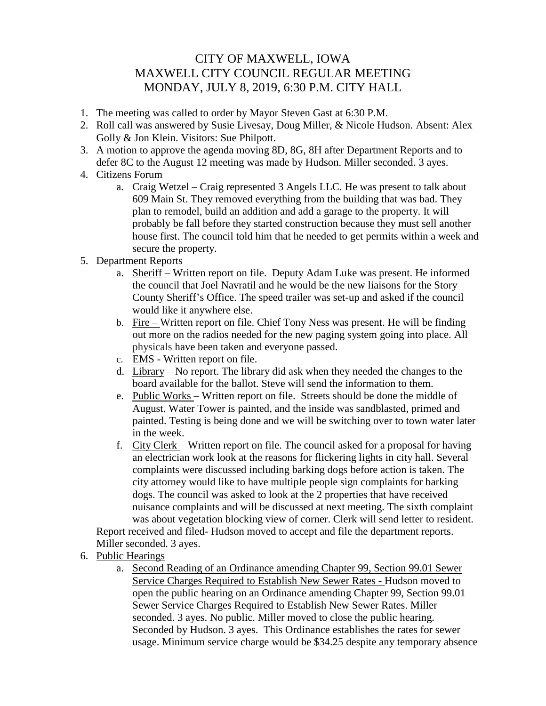## CITY OF MAXWELL, IOWA MAXWELL CITY COUNCIL REGULAR MEETING MONDAY, JULY 8, 2019, 6:30 P.M. CITY HALL

- 1. The meeting was called to order by Mayor Steven Gast at 6:30 P.M.
- 2. Roll call was answered by Susie Livesay, Doug Miller, & Nicole Hudson. Absent: Alex Golly & Jon Klein. Visitors: Sue Philpott.
- 3. A motion to approve the agenda moving 8D, 8G, 8H after Department Reports and to defer 8C to the August 12 meeting was made by Hudson. Miller seconded. 3 ayes.
- 4. Citizens Forum
	- a. Craig Wetzel Craig represented 3 Angels LLC. He was present to talk about 609 Main St. They removed everything from the building that was bad. They plan to remodel, build an addition and add a garage to the property. It will probably be fall before they started construction because they must sell another house first. The council told him that he needed to get permits within a week and secure the property.
- 5. Department Reports
	- a. Sheriff Written report on file. Deputy Adam Luke was present. He informed the council that Joel Navratil and he would be the new liaisons for the Story County Sheriff's Office. The speed trailer was set-up and asked if the council would like it anywhere else.
	- b. Fire Written report on file. Chief Tony Ness was present. He will be finding out more on the radios needed for the new paging system going into place. All physicals have been taken and everyone passed.
	- c. EMS Written report on file.
	- d. Library No report. The library did ask when they needed the changes to the board available for the ballot. Steve will send the information to them.
	- e. Public Works Written report on file. Streets should be done the middle of August. Water Tower is painted, and the inside was sandblasted, primed and painted. Testing is being done and we will be switching over to town water later in the week.
	- f. City Clerk Written report on file. The council asked for a proposal for having an electrician work look at the reasons for flickering lights in city hall. Several complaints were discussed including barking dogs before action is taken. The city attorney would like to have multiple people sign complaints for barking dogs. The council was asked to look at the 2 properties that have received nuisance complaints and will be discussed at next meeting. The sixth complaint was about vegetation blocking view of corner. Clerk will send letter to resident.

Report received and filed- Hudson moved to accept and file the department reports. Miller seconded. 3 ayes.

- 6. Public Hearings
	- a. Second Reading of an Ordinance amending Chapter 99, Section 99.01 Sewer Service Charges Required to Establish New Sewer Rates - Hudson moved to open the public hearing on an Ordinance amending Chapter 99, Section 99.01 Sewer Service Charges Required to Establish New Sewer Rates. Miller seconded. 3 ayes. No public. Miller moved to close the public hearing. Seconded by Hudson. 3 ayes. This Ordinance establishes the rates for sewer usage. Minimum service charge would be \$34.25 despite any temporary absence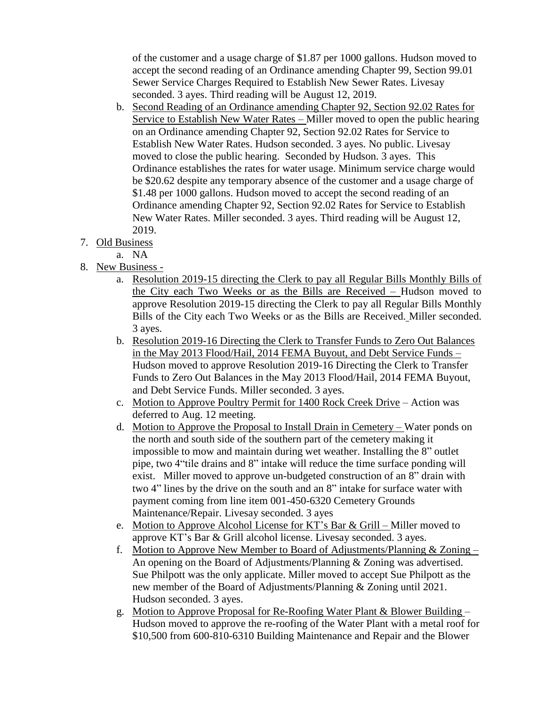of the customer and a usage charge of \$1.87 per 1000 gallons. Hudson moved to accept the second reading of an Ordinance amending Chapter 99, Section 99.01 Sewer Service Charges Required to Establish New Sewer Rates. Livesay seconded. 3 ayes. Third reading will be August 12, 2019.

- b. Second Reading of an Ordinance amending Chapter 92, Section 92.02 Rates for Service to Establish New Water Rates – Miller moved to open the public hearing on an Ordinance amending Chapter 92, Section 92.02 Rates for Service to Establish New Water Rates. Hudson seconded. 3 ayes. No public. Livesay moved to close the public hearing. Seconded by Hudson. 3 ayes. This Ordinance establishes the rates for water usage. Minimum service charge would be \$20.62 despite any temporary absence of the customer and a usage charge of \$1.48 per 1000 gallons. Hudson moved to accept the second reading of an Ordinance amending Chapter 92, Section 92.02 Rates for Service to Establish New Water Rates. Miller seconded. 3 ayes. Third reading will be August 12, 2019.
- 7. Old Business
	- a. NA
- 8. New Business
	- a. Resolution 2019-15 directing the Clerk to pay all Regular Bills Monthly Bills of the City each Two Weeks or as the Bills are Received – Hudson moved to approve Resolution 2019-15 directing the Clerk to pay all Regular Bills Monthly Bills of the City each Two Weeks or as the Bills are Received. Miller seconded. 3 ayes.
	- b. Resolution 2019-16 Directing the Clerk to Transfer Funds to Zero Out Balances in the May 2013 Flood/Hail, 2014 FEMA Buyout, and Debt Service Funds – Hudson moved to approve Resolution 2019-16 Directing the Clerk to Transfer Funds to Zero Out Balances in the May 2013 Flood/Hail, 2014 FEMA Buyout, and Debt Service Funds. Miller seconded. 3 ayes.
	- c. Motion to Approve Poultry Permit for 1400 Rock Creek Drive Action was deferred to Aug. 12 meeting.
	- d. Motion to Approve the Proposal to Install Drain in Cemetery Water ponds on the north and south side of the southern part of the cemetery making it impossible to mow and maintain during wet weather. Installing the 8" outlet pipe, two 4"tile drains and 8" intake will reduce the time surface ponding will exist. Miller moved to approve un-budgeted construction of an 8" drain with two 4" lines by the drive on the south and an 8" intake for surface water with payment coming from line item 001-450-6320 Cemetery Grounds Maintenance/Repair. Livesay seconded. 3 ayes
	- e. Motion to Approve Alcohol License for KT's Bar & Grill Miller moved to approve KT's Bar & Grill alcohol license. Livesay seconded. 3 ayes.
	- f. Motion to Approve New Member to Board of Adjustments/Planning & Zoning  $-$ An opening on the Board of Adjustments/Planning & Zoning was advertised. Sue Philpott was the only applicate. Miller moved to accept Sue Philpott as the new member of the Board of Adjustments/Planning & Zoning until 2021. Hudson seconded. 3 ayes.
	- g. Motion to Approve Proposal for Re-Roofing Water Plant & Blower Building Hudson moved to approve the re-roofing of the Water Plant with a metal roof for \$10,500 from 600-810-6310 Building Maintenance and Repair and the Blower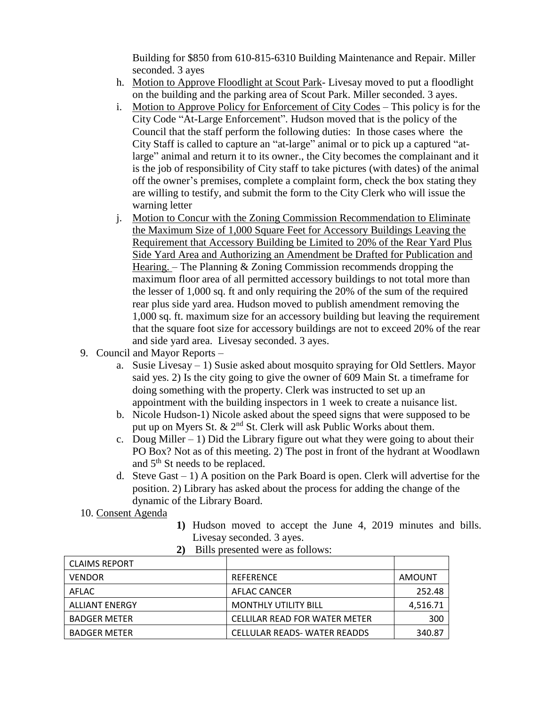Building for \$850 from 610-815-6310 Building Maintenance and Repair. Miller seconded. 3 ayes

- h. Motion to Approve Floodlight at Scout Park- Livesay moved to put a floodlight on the building and the parking area of Scout Park. Miller seconded. 3 ayes.
- i. Motion to Approve Policy for Enforcement of City Codes This policy is for the City Code "At-Large Enforcement". Hudson moved that is the policy of the Council that the staff perform the following duties: In those cases where the City Staff is called to capture an "at-large" animal or to pick up a captured "atlarge" animal and return it to its owner., the City becomes the complainant and it is the job of responsibility of City staff to take pictures (with dates) of the animal off the owner's premises, complete a complaint form, check the box stating they are willing to testify, and submit the form to the City Clerk who will issue the warning letter
- j. Motion to Concur with the Zoning Commission Recommendation to Eliminate the Maximum Size of 1,000 Square Feet for Accessory Buildings Leaving the Requirement that Accessory Building be Limited to 20% of the Rear Yard Plus Side Yard Area and Authorizing an Amendment be Drafted for Publication and Hearing. – The Planning & Zoning Commission recommends dropping the maximum floor area of all permitted accessory buildings to not total more than the lesser of 1,000 sq. ft and only requiring the 20% of the sum of the required rear plus side yard area. Hudson moved to publish amendment removing the 1,000 sq. ft. maximum size for an accessory building but leaving the requirement that the square foot size for accessory buildings are not to exceed 20% of the rear and side yard area. Livesay seconded. 3 ayes.
- 9. Council and Mayor Reports
	- a. Susie Livesay 1) Susie asked about mosquito spraying for Old Settlers. Mayor said yes. 2) Is the city going to give the owner of 609 Main St. a timeframe for doing something with the property. Clerk was instructed to set up an appointment with the building inspectors in 1 week to create a nuisance list.
	- b. Nicole Hudson-1) Nicole asked about the speed signs that were supposed to be put up on Myers St.  $\& 2<sup>nd</sup>$  St. Clerk will ask Public Works about them.
	- c. Doug Miller 1) Did the Library figure out what they were going to about their PO Box? Not as of this meeting. 2) The post in front of the hydrant at Woodlawn and  $5<sup>th</sup>$  St needs to be replaced.
	- d. Steve Gast  $-1$ ) A position on the Park Board is open. Clerk will advertise for the position. 2) Library has asked about the process for adding the change of the dynamic of the Library Board.
- 10. Consent Agenda
- **1)** Hudson moved to accept the June 4, 2019 minutes and bills. Livesay seconded. 3 ayes.

| <b>CLAIMS REPORT</b>  |                               |          |  |  |
|-----------------------|-------------------------------|----------|--|--|
| <b>VENDOR</b>         | <b>REFERENCE</b>              | AMOUNT   |  |  |
| AFLAC                 | AFLAC CANCER                  | 252.48   |  |  |
| <b>ALLIANT ENERGY</b> | <b>MONTHLY UTILITY BILL</b>   | 4,516.71 |  |  |
| <b>BADGER METER</b>   | CELLILAR READ FOR WATER METER | 300      |  |  |
| <b>BADGER METER</b>   | CELLULAR READS-WATER READDS   | 340.87   |  |  |

**2)** Bills presented were as follows: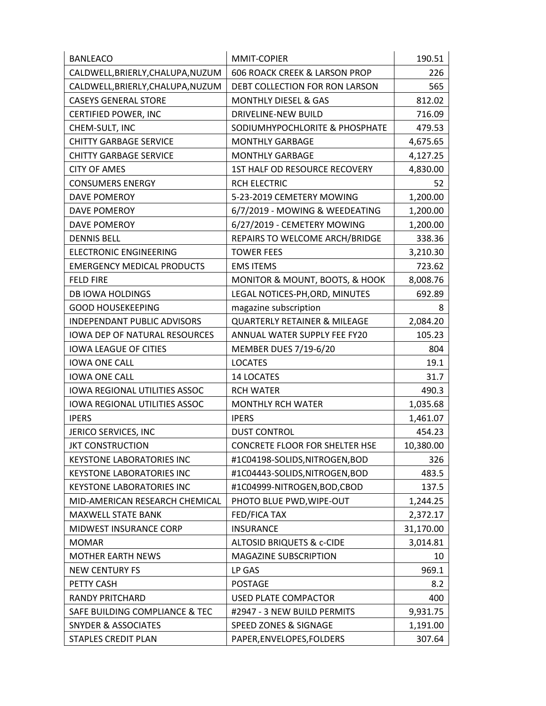| <b>BANLEACO</b>                      | MMIT-COPIER                              | 190.51    |
|--------------------------------------|------------------------------------------|-----------|
| CALDWELL, BRIERLY, CHALUPA, NUZUM    | <b>606 ROACK CREEK &amp; LARSON PROP</b> | 226       |
| CALDWELL, BRIERLY, CHALUPA, NUZUM    | DEBT COLLECTION FOR RON LARSON           | 565       |
| <b>CASEYS GENERAL STORE</b>          | <b>MONTHLY DIESEL &amp; GAS</b>          | 812.02    |
| CERTIFIED POWER, INC                 | DRIVELINE-NEW BUILD                      | 716.09    |
| CHEM-SULT, INC                       | SODIUMHYPOCHLORITE & PHOSPHATE           | 479.53    |
| <b>CHITTY GARBAGE SERVICE</b>        | <b>MONTHLY GARBAGE</b>                   | 4,675.65  |
| <b>CHITTY GARBAGE SERVICE</b>        | <b>MONTHLY GARBAGE</b>                   | 4,127.25  |
| <b>CITY OF AMES</b>                  | 1ST HALF OD RESOURCE RECOVERY            | 4,830.00  |
| <b>CONSUMERS ENERGY</b>              | RCH ELECTRIC                             | 52        |
| DAVE POMEROY                         | 5-23-2019 CEMETERY MOWING                | 1,200.00  |
| DAVE POMEROY                         | 6/7/2019 - MOWING & WEEDEATING           | 1,200.00  |
| <b>DAVE POMEROY</b>                  | 6/27/2019 - CEMETERY MOWING              | 1,200.00  |
| <b>DENNIS BELL</b>                   | REPAIRS TO WELCOME ARCH/BRIDGE           | 338.36    |
| <b>ELECTRONIC ENGINEERING</b>        | <b>TOWER FEES</b>                        | 3,210.30  |
| <b>EMERGENCY MEDICAL PRODUCTS</b>    | <b>EMS ITEMS</b>                         | 723.62    |
| <b>FELD FIRE</b>                     | MONITOR & MOUNT, BOOTS, & HOOK           | 8,008.76  |
| <b>DB IOWA HOLDINGS</b>              | LEGAL NOTICES-PH, ORD, MINUTES           | 692.89    |
| <b>GOOD HOUSEKEEPING</b>             | magazine subscription                    | 8         |
| <b>INDEPENDANT PUBLIC ADVISORS</b>   | <b>QUARTERLY RETAINER &amp; MILEAGE</b>  | 2,084.20  |
| <b>IOWA DEP OF NATURAL RESOURCES</b> | ANNUAL WATER SUPPLY FEE FY20             | 105.23    |
| <b>IOWA LEAGUE OF CITIES</b>         | MEMBER DUES 7/19-6/20                    | 804       |
| <b>IOWA ONE CALL</b>                 | <b>LOCATES</b>                           | 19.1      |
| <b>IOWA ONE CALL</b>                 | 14 LOCATES                               | 31.7      |
| IOWA REGIONAL UTILITIES ASSOC        | <b>RCH WATER</b>                         | 490.3     |
| <b>IOWA REGIONAL UTILITIES ASSOC</b> | <b>MONTHLY RCH WATER</b>                 | 1,035.68  |
| <b>IPERS</b>                         | <b>IPERS</b>                             | 1,461.07  |
| JERICO SERVICES, INC                 | <b>DUST CONTROL</b>                      | 454.23    |
| <b>JKT CONSTRUCTION</b>              | CONCRETE FLOOR FOR SHELTER HSE           | 10,380.00 |
| <b>KEYSTONE LABORATORIES INC</b>     | #1C04198-SOLIDS,NITROGEN,BOD             | 326       |
| <b>KEYSTONE LABORATORIES INC</b>     | #1C04443-SOLIDS, NITROGEN, BOD           | 483.5     |
| <b>KEYSTONE LABORATORIES INC</b>     | #1C04999-NITROGEN, BOD, CBOD             | 137.5     |
| MID-AMERICAN RESEARCH CHEMICAL       | PHOTO BLUE PWD, WIPE-OUT                 | 1,244.25  |
| <b>MAXWELL STATE BANK</b>            | FED/FICA TAX                             | 2,372.17  |
| MIDWEST INSURANCE CORP               | <b>INSURANCE</b>                         | 31,170.00 |
| <b>MOMAR</b>                         | <b>ALTOSID BRIQUETS &amp; c-CIDE</b>     | 3,014.81  |
| <b>MOTHER EARTH NEWS</b>             | <b>MAGAZINE SUBSCRIPTION</b>             | 10        |
| <b>NEW CENTURY FS</b>                | LP GAS                                   | 969.1     |
| PETTY CASH                           | <b>POSTAGE</b>                           | 8.2       |
| <b>RANDY PRITCHARD</b>               | <b>USED PLATE COMPACTOR</b>              | 400       |
| SAFE BUILDING COMPLIANCE & TEC       | #2947 - 3 NEW BUILD PERMITS              | 9,931.75  |
| <b>SNYDER &amp; ASSOCIATES</b>       | SPEED ZONES & SIGNAGE                    | 1,191.00  |
| <b>STAPLES CREDIT PLAN</b>           | PAPER, ENVELOPES, FOLDERS                | 307.64    |